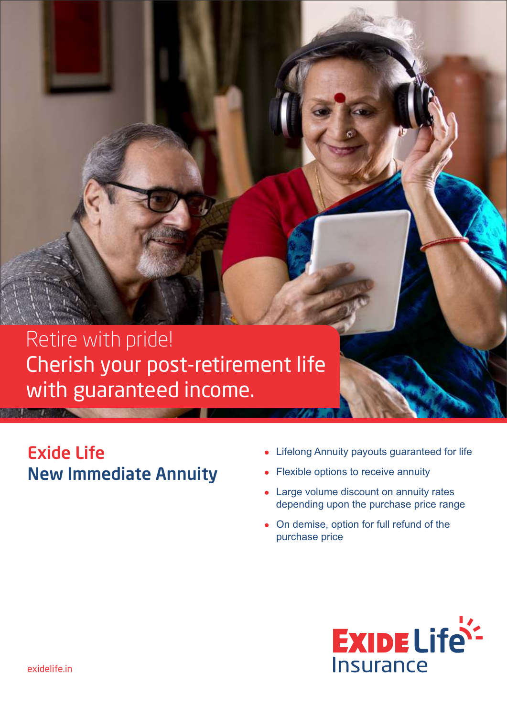# Retire with pride! Cherish your post-retirement life with guaranteed income.

## Exide Life New Immediate Annuity

- Lifelong Annuity payouts guaranteed for life
- Flexible options to receive annuity
- Large volume discount on annuity rates depending upon the purchase price range
- On demise, option for full refund of the purchase price

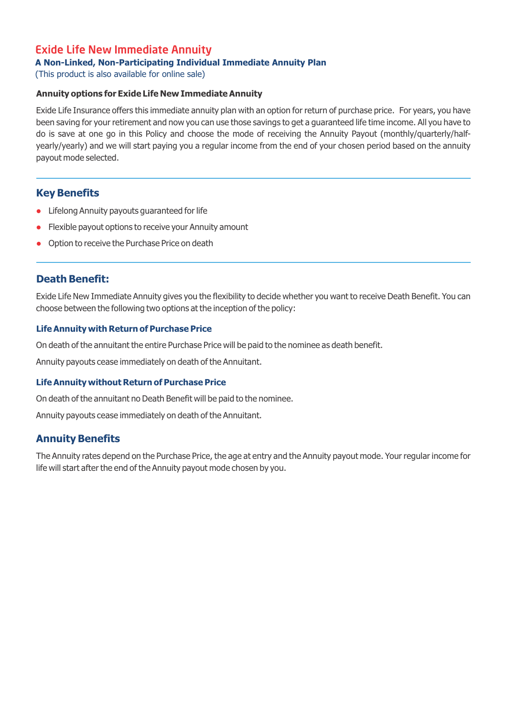## Exide Life New Immediate Annuity

#### **A Non-Linked, Non-Participating Individual Immediate Annuity Plan**

(This product is also available for online sale)

#### **Annuity options for Exide Life New Immediate Annuity**

Exide Life Insurance offers this immediate annuity plan with an option for return of purchase price. For years, you have been saving for your retirement and now you can use those savings to get a guaranteed life time income. All you have to do is save at one go in this Policy and choose the mode of receiving the Annuity Payout (monthly/quarterly/halfyearly/yearly) and we will start paying you a regular income from the end of your chosen period based on the annuity payout mode selected.

#### **Key Benefits**

- Lifelong Annuity payouts guaranteed for life
- **•** Flexible payout options to receive your Annuity amount
- **•** Option to receive the Purchase Price on death

## **Death Benefit:**

Exide Life New Immediate Annuity gives you the flexibility to decide whether you want to receive Death Benefit. You can choose between the following two options at the inception of the policy:

#### **Life Annuity with Return of Purchase Price**

On death of the annuitant the entire Purchase Price will be paid to the nominee as death benefit.

Annuity payouts cease immediately on death of the Annuitant.

#### **Life Annuity without Return of Purchase Price**

On death of the annuitant no Death Benefit will be paid to the nominee.

Annuity payouts cease immediately on death of the Annuitant.

## **Annuity Benefits**

The Annuity rates depend on the Purchase Price, the age at entry and the Annuity payout mode. Your regular income for life will start after the end of the Annuity payout mode chosen by you.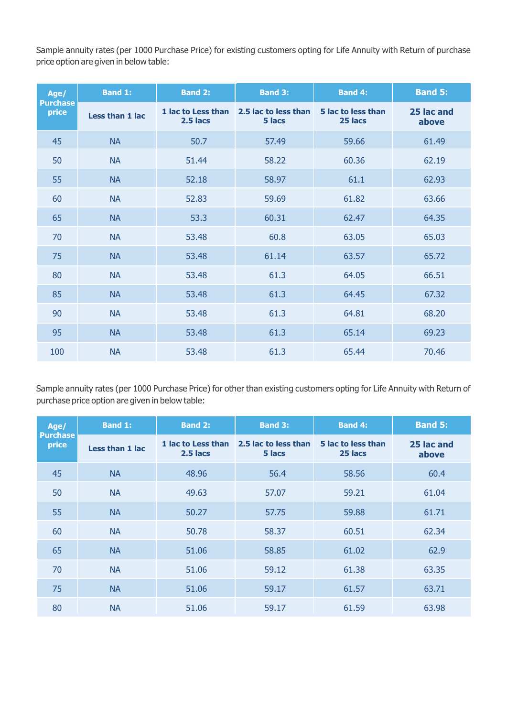Sample annuity rates (per 1000 Purchase Price) for existing customers opting for Life Annuity with Return of purchase price option are given in below table:

| Age/<br><b>Purchase</b><br>price | <b>Band 1:</b>  | <b>Band 2:</b>                   | <b>Band 3:</b>                 | <b>Band 4:</b>                | <b>Band 5:</b>      |
|----------------------------------|-----------------|----------------------------------|--------------------------------|-------------------------------|---------------------|
|                                  | Less than 1 lac | 1 lac to Less than<br>$2.5$ lacs | 2.5 lac to less than<br>5 lacs | 5 lac to less than<br>25 lacs | 25 lac and<br>above |
| 45                               | <b>NA</b>       | 50.7                             | 57.49                          | 59.66                         | 61.49               |
| 50                               | <b>NA</b>       | 51.44                            | 58.22                          | 60.36                         | 62.19               |
| 55                               | <b>NA</b>       | 52.18                            | 58.97                          | 61.1                          | 62.93               |
| 60                               | <b>NA</b>       | 52.83                            | 59.69                          | 61.82                         | 63.66               |
| 65                               | <b>NA</b>       | 53.3                             | 60.31                          | 62.47                         | 64.35               |
| 70                               | <b>NA</b>       | 53.48                            | 60.8                           | 63.05                         | 65.03               |
| 75                               | <b>NA</b>       | 53.48                            | 61.14                          | 63.57                         | 65.72               |
| 80                               | <b>NA</b>       | 53.48                            | 61.3                           | 64.05                         | 66.51               |
| 85                               | <b>NA</b>       | 53.48                            | 61.3                           | 64.45                         | 67.32               |
| 90                               | <b>NA</b>       | 53.48                            | 61.3                           | 64.81                         | 68.20               |
| 95                               | <b>NA</b>       | 53.48                            | 61.3                           | 65.14                         | 69.23               |
| 100                              | <b>NA</b>       | 53.48                            | 61.3                           | 65.44                         | 70.46               |

Sample annuity rates (per 1000 Purchase Price) for other than existing customers opting for Life Annuity with Return of purchase price option are given in below table:

| Age/<br><b>Purchase</b><br>price | <b>Band 1:</b>  | <b>Band 2:</b>                   | <b>Band 3:</b>                 | <b>Band 4:</b>                | <b>Band 5:</b>      |
|----------------------------------|-----------------|----------------------------------|--------------------------------|-------------------------------|---------------------|
|                                  | Less than 1 lac | 1 lac to Less than<br>$2.5$ lacs | 2.5 lac to less than<br>5 lacs | 5 lac to less than<br>25 lacs | 25 lac and<br>above |
| 45                               | <b>NA</b>       | 48.96                            | 56.4                           | 58.56                         | 60.4                |
| 50                               | <b>NA</b>       | 49.63                            | 57.07                          | 59.21                         | 61.04               |
| 55                               | <b>NA</b>       | 50.27                            | 57.75                          | 59.88                         | 61.71               |
| 60                               | <b>NA</b>       | 50.78                            | 58.37                          | 60.51                         | 62.34               |
| 65                               | <b>NA</b>       | 51.06                            | 58.85                          | 61.02                         | 62.9                |
| 70                               | <b>NA</b>       | 51.06                            | 59.12                          | 61.38                         | 63.35               |
| 75                               | <b>NA</b>       | 51.06                            | 59.17                          | 61.57                         | 63.71               |
| 80                               | <b>NA</b>       | 51.06                            | 59.17                          | 61.59                         | 63.98               |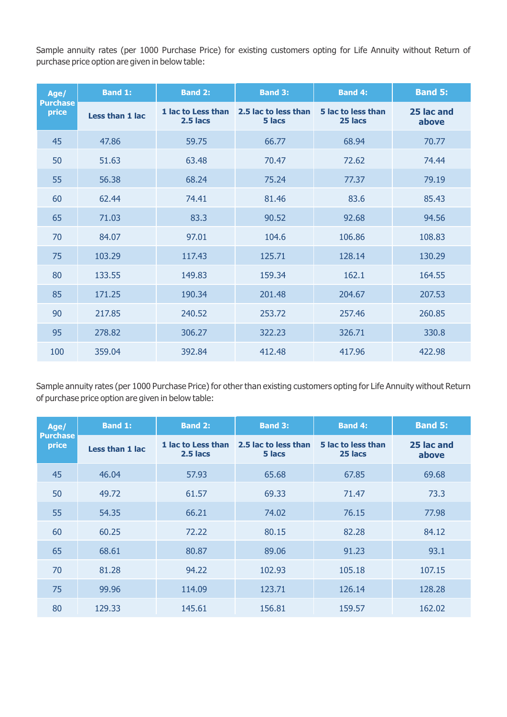Sample annuity rates (per 1000 Purchase Price) for existing customers opting for Life Annuity without Return of purchase price option are given in below table:

| Age/<br><b>Purchase</b><br>price | <b>Band 1:</b>  | <b>Band 2:</b>                 | <b>Band 3:</b>                 | <b>Band 4:</b>                | <b>Band 5:</b>      |
|----------------------------------|-----------------|--------------------------------|--------------------------------|-------------------------------|---------------------|
|                                  | Less than 1 lac | 1 lac to Less than<br>2.5 lacs | 2.5 lac to less than<br>5 lacs | 5 lac to less than<br>25 lacs | 25 lac and<br>above |
| 45                               | 47.86           | 59.75                          | 66.77                          | 68.94                         | 70.77               |
| 50                               | 51.63           | 63.48                          | 70.47                          | 72.62                         | 74.44               |
| 55                               | 56.38           | 68.24                          | 75.24                          | 77.37                         | 79.19               |
| 60                               | 62.44           | 74.41                          | 81.46                          | 83.6                          | 85.43               |
| 65                               | 71.03           | 83.3                           | 90.52                          | 92.68                         | 94.56               |
| 70                               | 84.07           | 97.01                          | 104.6                          | 106.86                        | 108.83              |
| 75                               | 103.29          | 117.43                         | 125.71                         | 128.14                        | 130.29              |
| 80                               | 133.55          | 149.83                         | 159.34                         | 162.1                         | 164.55              |
| 85                               | 171.25          | 190.34                         | 201.48                         | 204.67                        | 207.53              |
| 90                               | 217.85          | 240.52                         | 253.72                         | 257.46                        | 260.85              |
| 95                               | 278.82          | 306.27                         | 322.23                         | 326.71                        | 330.8               |
| 100                              | 359.04          | 392.84                         | 412.48                         | 417.96                        | 422.98              |

Sample annuity rates (per 1000 Purchase Price) for other than existing customers opting for Life Annuity without Return of purchase price option are given in below table:

| Age/<br><b>Purchase</b><br>price | <b>Band 1:</b>  | <b>Band 2:</b>                   | <b>Band 3:</b>                 | <b>Band 4:</b>                | <b>Band 5:</b>      |
|----------------------------------|-----------------|----------------------------------|--------------------------------|-------------------------------|---------------------|
|                                  | Less than 1 lac | 1 lac to Less than<br>$2.5$ lacs | 2.5 lac to less than<br>5 lacs | 5 lac to less than<br>25 lacs | 25 lac and<br>above |
| 45                               | 46.04           | 57.93                            | 65.68                          | 67.85                         | 69.68               |
| 50                               | 49.72           | 61.57                            | 69.33                          | 71.47                         | 73.3                |
| 55                               | 54.35           | 66.21                            | 74.02                          | 76.15                         | 77.98               |
| 60                               | 60.25           | 72.22                            | 80.15                          | 82.28                         | 84.12               |
| 65                               | 68.61           | 80.87                            | 89.06                          | 91.23                         | 93.1                |
| 70                               | 81.28           | 94.22                            | 102.93                         | 105.18                        | 107.15              |
| 75                               | 99.96           | 114.09                           | 123.71                         | 126.14                        | 128.28              |
| 80                               | 129.33          | 145.61                           | 156.81                         | 159.57                        | 162.02              |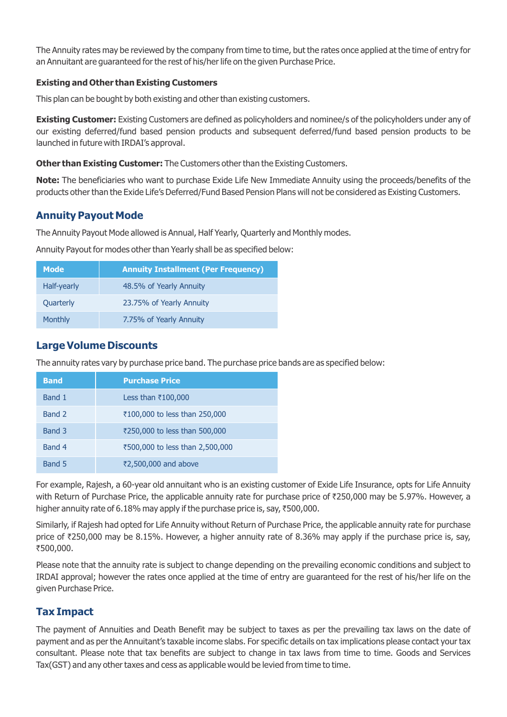The Annuity rates may be reviewed by the company from time to time, but the rates once applied at the time of entry for an Annuitant are guaranteed for the rest of his/her life on the given Purchase Price.

#### **Existing and Other than Existing Customers**

This plan can be bought by both existing and other than existing customers.

**Existing Customer:** Existing Customers are defined as policyholders and nominee/s of the policyholders under any of our existing deferred/fund based pension products and subsequent deferred/fund based pension products to be launched in future with IRDAI's approval.

**Other than Existing Customer:** The Customers other than the Existing Customers.

**Note:** The beneficiaries who want to purchase Exide Life New Immediate Annuity using the proceeds/benefits of the products other than the Exide Life's Deferred/Fund Based Pension Plans will not be considered as Existing Customers.

## **Annuity Payout Mode**

The Annuity Payout Mode allowed is Annual, Half Yearly, Quarterly and Monthly modes.

Annuity Payout for modes other than Yearly shall be as specified below:

| <b>Mode</b>      | <b>Annuity Installment (Per Frequency)</b> |
|------------------|--------------------------------------------|
| Half-yearly      | 48.5% of Yearly Annuity                    |
| <b>Quarterly</b> | 23.75% of Yearly Annuity                   |
| Monthly          | 7.75% of Yearly Annuity                    |

## **Large Volume Discounts**

The annuity rates vary by purchase price band. The purchase price bands are as specified below:

| <b>Band</b> | <b>Purchase Price</b>           |
|-------------|---------------------------------|
| Band 1      | Less than $\bar{\tau}100,000$   |
| Band 2      | ₹100,000 to less than 250,000   |
| Band 3      | ₹250,000 to less than 500,000   |
| Band 4      | ₹500,000 to less than 2,500,000 |
| Band 5      | ₹2,500,000 and above            |

For example, Rajesh, a 60-year old annuitant who is an existing customer of Exide Life Insurance, opts for Life Annuity with Return of Purchase Price, the applicable annuity rate for purchase price of ₹250,000 may be 5.97%. However, a higher annuity rate of 6.18% may apply if the purchase price is, say,  $\overline{500,000}$ .

Similarly, if Rajesh had opted for Life Annuity without Return of Purchase Price, the applicable annuity rate for purchase price of  $\text{\textdegree{250,000}}$  may be 8.15%. However, a higher annuity rate of 8.36% may apply if the purchase price is, say, `500,000.

Please note that the annuity rate is subject to change depending on the prevailing economic conditions and subject to IRDAI approval; however the rates once applied at the time of entry are guaranteed for the rest of his/her life on the given Purchase Price.

## **Tax Impact**

The payment of Annuities and Death Benefit may be subject to taxes as per the prevailing tax laws on the date of payment and as per the Annuitant's taxable income slabs. For specific details on tax implications please contact your tax consultant. Please note that tax benefits are subject to change in tax laws from time to time. Goods and Services Tax(GST) and any other taxes and cess as applicable would be levied from time to time.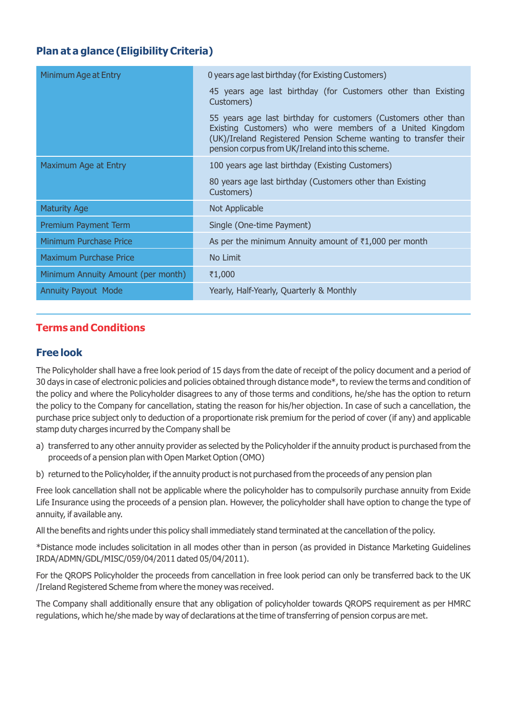## **Plan at a glance (Eligibility Criteria)**

| Minimum Age at Entry               | 0 years age last birthday (for Existing Customers)                                                                                                                                                                                                 |  |  |
|------------------------------------|----------------------------------------------------------------------------------------------------------------------------------------------------------------------------------------------------------------------------------------------------|--|--|
|                                    | 45 years age last birthday (for Customers other than Existing<br>Customers)                                                                                                                                                                        |  |  |
|                                    | 55 years age last birthday for customers (Customers other than<br>Existing Customers) who were members of a United Kingdom<br>(UK)/Ireland Registered Pension Scheme wanting to transfer their<br>pension corpus from UK/Ireland into this scheme. |  |  |
| Maximum Age at Entry               | 100 years age last birthday (Existing Customers)                                                                                                                                                                                                   |  |  |
|                                    | 80 years age last birthday (Customers other than Existing<br>Customers)                                                                                                                                                                            |  |  |
| <b>Maturity Age</b>                | Not Applicable                                                                                                                                                                                                                                     |  |  |
| Premium Payment Term               | Single (One-time Payment)                                                                                                                                                                                                                          |  |  |
| <b>Minimum Purchase Price</b>      | As per the minimum Annuity amount of $\bar{\tau}1,000$ per month                                                                                                                                                                                   |  |  |
| <b>Maximum Purchase Price</b>      | No Limit                                                                                                                                                                                                                                           |  |  |
| Minimum Annuity Amount (per month) | ₹1,000                                                                                                                                                                                                                                             |  |  |
| <b>Annuity Payout Mode</b>         | Yearly, Half-Yearly, Quarterly & Monthly                                                                                                                                                                                                           |  |  |

## **Terms and Conditions**

## **Free look**

The Policyholder shall have a free look period of 15 days from the date of receipt of the policy document and a period of 30 days in case of electronic policies and policies obtained through distance mode\*, to review the terms and condition of the policy and where the Policyholder disagrees to any of those terms and conditions, he/she has the option to return the policy to the Company for cancellation, stating the reason for his/her objection. In case of such a cancellation, the purchase price subject only to deduction of a proportionate risk premium for the period of cover (if any) and applicable stamp duty charges incurred by the Company shall be

- a) transferred to any other annuity provider as selected by the Policyholder if the annuity product is purchased from the proceeds of a pension plan with Open Market Option (OMO)
- b) returned to the Policyholder, if the annuity product is not purchased from the proceeds of any pension plan

Free look cancellation shall not be applicable where the policyholder has to compulsorily purchase annuity from Exide Life Insurance using the proceeds of a pension plan. However, the policyholder shall have option to change the type of annuity, if available any.

All the benefits and rights under this policy shall immediately stand terminated at the cancellation of the policy.

\*Distance mode includes solicitation in all modes other than in person (as provided in Distance Marketing Guidelines IRDA/ADMN/GDL/MISC/059/04/2011 dated 05/04/2011).

For the QROPS Policyholder the proceeds from cancellation in free look period can only be transferred back to the UK /Ireland Registered Scheme from where the money was received.

The Company shall additionally ensure that any obligation of policyholder towards QROPS requirement as per HMRC regulations, which he/she made by way of declarations at the time of transferring of pension corpus are met.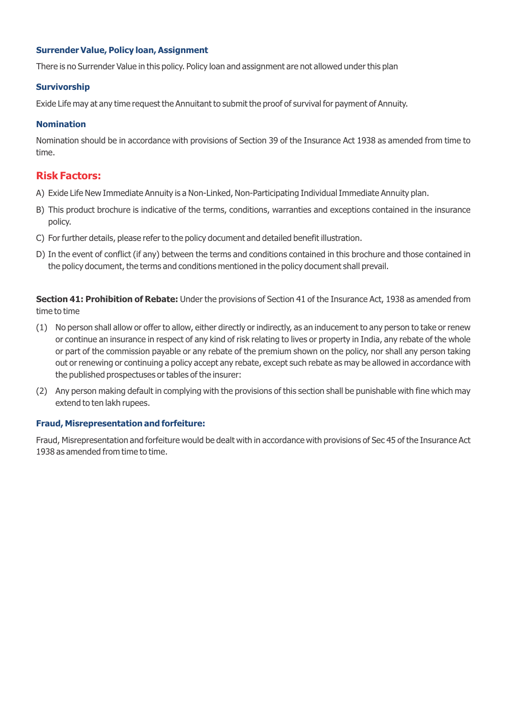#### **Surrender Value, Policy loan, Assignment**

There is no Surrender Value in this policy. Policy loan and assignment are not allowed under this plan

#### **Survivorship**

Exide Life may at any time request the Annuitant to submit the proof of survival for payment of Annuity.

#### **Nomination**

Nomination should be in accordance with provisions of Section 39 of the Insurance Act 1938 as amended from time to time.

#### **Risk Factors:**

- A) Exide Life New Immediate Annuity is a Non-Linked, Non-Participating Individual Immediate Annuity plan.
- B) This product brochure is indicative of the terms, conditions, warranties and exceptions contained in the insurance policy.
- C) For further details, please refer to the policy document and detailed benefit illustration.
- D) In the event of conflict (if any) between the terms and conditions contained in this brochure and those contained in the policy document, the terms and conditions mentioned in the policy document shall prevail.

**Section 41: Prohibition of Rebate:** Under the provisions of Section 41 of the Insurance Act, 1938 as amended from time to time

- (1) No person shall allow or offer to allow, either directly or indirectly, as an inducement to any person to take or renew or continue an insurance in respect of any kind of risk relating to lives or property in India, any rebate of the whole or part of the commission payable or any rebate of the premium shown on the policy, nor shall any person taking out or renewing or continuing a policy accept any rebate, except such rebate as may be allowed in accordance with the published prospectuses or tables of the insurer:
- (2) Any person making default in complying with the provisions of this section shall be punishable with fine which may extend to ten lakh rupees.

#### **Fraud, Misrepresentation and forfeiture:**

Fraud, Misrepresentation and forfeiture would be dealt with in accordance with provisions of Sec 45 of the Insurance Act 1938 as amended from time to time.